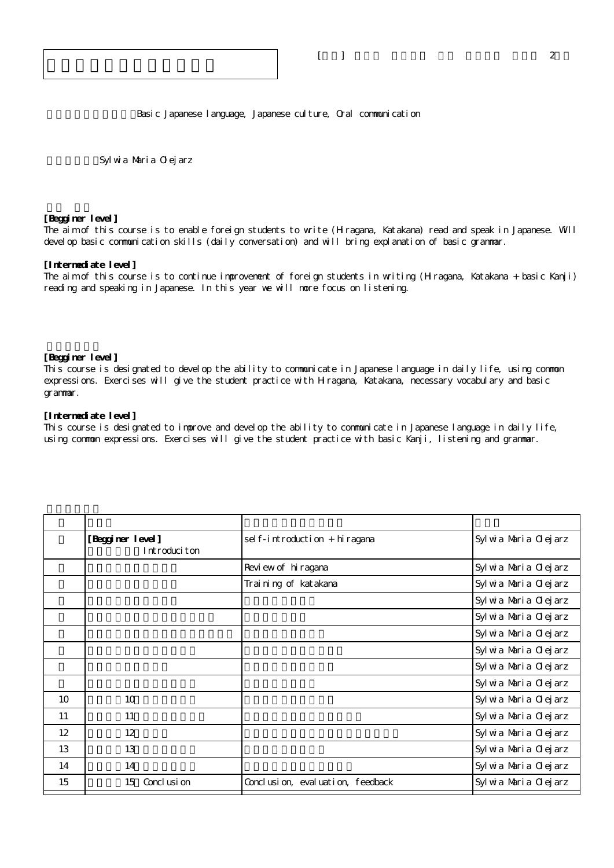Basic Japanese language, Japanese culture, Oral communication

Sylwia Maria Olejarz

## **[Begginer level]**

The aim of this course is to enable foreign students to write (Hiragana, Katakana) read and speak in Japanese. Will devel op basic communication skills (daily conversation) and will bring explanation of basic grammar.

## **[Intermediate level]**

The aim of this course is to continue improvement of foreign students in writing (Hiragana, Katakana + basic Kanji) reading and speaking in Japanese. In this year we will more focus on listening.

## **[Begginer level]**

This course is designated to develop the ability to communicate in Japanese language in daily life, using common expressions. Exercises will give the student practice with Hiragana, Katakana, necessary vocabulary and basic grammar.

## **[Intermediate level]**

This course is designated to improve and develop the ability to communicate in Japanese language in daily life, using common expressions. Exercises will give the student practice with basic Kanji, listening and grammar.

|    | [Begginer level]<br>Introduciton | sel f-introduction + hiragana    | Syl wia Maria Olejarz |
|----|----------------------------------|----------------------------------|-----------------------|
|    |                                  | Review of hiragana               | Syl wia Maria Olejarz |
|    |                                  | Training of katakana             | Syl wia Maria Olejarz |
|    |                                  |                                  | Syl wia Maria Olejarz |
|    |                                  |                                  | Syl wia Maria Olejarz |
|    |                                  |                                  | Syl wia Maria Olejarz |
|    |                                  |                                  | Syl wia Maria Olejarz |
|    |                                  |                                  | Syl wa Maria Olejarz  |
|    |                                  |                                  | Syl wia Maria Olejarz |
| 10 | 10                               |                                  | Syl wia Maria Olejarz |
| 11 | 11                               |                                  | Syl wia Maria Olejarz |
| 12 | 12                               |                                  | Syl wia Maria Olejarz |
| 13 | 13                               |                                  | Syl wia Maria Olejarz |
| 14 | 14                               |                                  | Syl wa Maria Olejarz  |
| 15 | Concl usi on<br>15               | Conclusion, evaluation, feedback | Syl wia Maria Olejarz |
|    |                                  |                                  |                       |